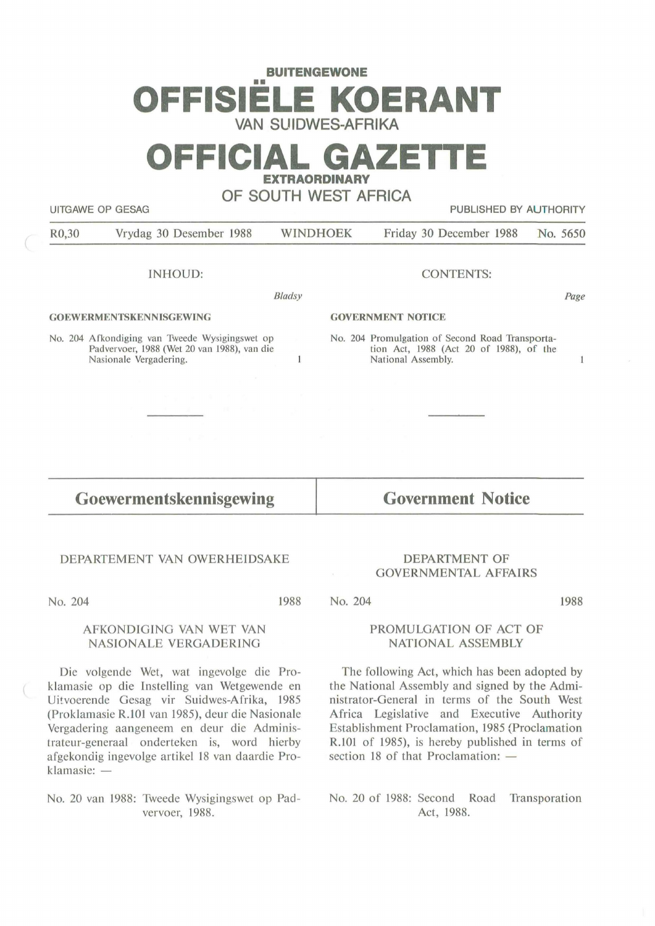# **BUITENGEWONE**  •• **OFFISIELE KOERANT VAN SUIDWES-AFRIKA**

## **OFFICIAL GAZETTE EXTRAORDINARY**

## **OF SOUTH WEST AFRICA**

UITGAWE OP GESAG **PUBLISHED BY AUTHORITY** 

R0,30 Vrydag 30 Desember 1988 WINDHOEK Friday 30 December 1988 No. 5650

INHOUD:

**Bladsy** 

 $\mathbf{1}$ 

#### **GOEWERMENTSKENNISGEWING**

No. 204 Afkondiging van Tweede Wysigingswet op Padvervoer, 1988 (Wet 20 van 1988), van die Nasionale Vergadering.

#### CONTENTS:

*Page* 

 $\mathbf{1}$ 

#### **GOVERNMENT NOTICE**

No. 204 Promulgation of Second Road Transportation Act, 1988 (Act 20 of 1988), of the National Assembly.

## **Goewermentskennisgewing**

**Government Notice** 

#### DEPARTEMENT VAN OWERHElDSAKE

No. 204

1988

#### AFKONDIGING VAN WET VAN NASIONALE VERGADERING

Die volgende Wet, wat ingevolge die Proklamasie op die Instelling van Wetgewende en Uitvoerende Gesag vir Suidwes-Afrika, 1985 (Proklamasie R.101 van 1985), deur die Nasionale Vergadering aangeneem en deur die Administrateur-generaal onderteken is, word hierby af gekondig ingevolge artikel 18 van daardie Proklamasie: -

No. 20 van 1988: Tweede Wysigingswet op Padvervoer, 1988.

#### DEPARTMENT OF GOVERNMENTAL AFFAIRS

No. 204

1988

#### PROMULGATION OF ACT OF NATIONAL ASSEMBLY

The following Act, which has been adopted by the National Assembly and signed by the Administrator-General in terms of the South West Africa Legislative and Executive Authority Establishment Proclamation, 1985 (Proclamation R.101 of 1985), is hereby published in terms of section 18 of that Proclamation:  $-$ 

No. 20 of 1988: Second Road Transporation Act, 1988.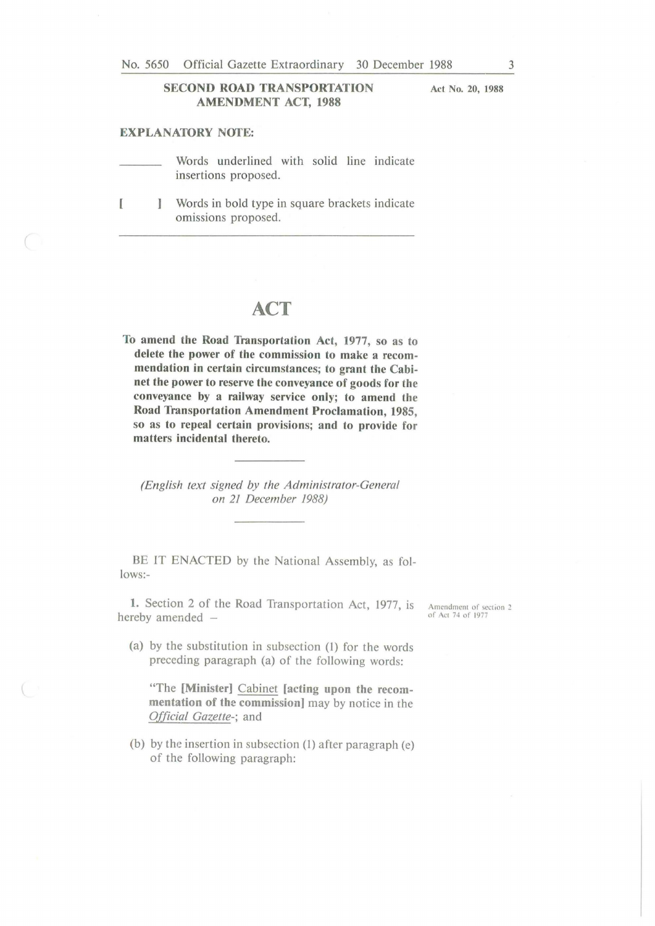#### **SECOND ROAD TRANSPORTATION AMENDMENT ACT, 1988**

**EXPLANATORY NOTE:** 

Words underlined with solid line indicate insertions proposed.

[ **J** Words in bold type in square brackets indicate omissions proposed.

### **ACT**

**To amend the Road Transportation Act, 1977, so as to delete the power of the commission to make a recommendation in certain circumstances; to grant the Cabinet the power to reserve the conveyance of goods for the conveyance by a railway service only; to amend the Road Transportation Amendment Proclamation, 1985, so as to repeal certain provisions; and to provide for matters incidental thereto.** 

*(English text signed by the Administrator-General on 21 December 1988)* 

BE IT ENACTED by the National Assembly, as follows:-

**1.** Section 2 of the Road Transportation Act, 1977, is hereby amended -

- Amendment of section 2 of Act 74 of 1977
- (a) by the substitution in subsection (l) for the words preceding paragraph (a) of the following words:

"The **[Minister]** Cabinet **[acting upon the recommentation of the commission]** may by notice in the *Official Gazette-;* and

(b) by the insertion in subsection (1) after paragraph (e) of the following paragraph:

**Act No. 20, 1988**